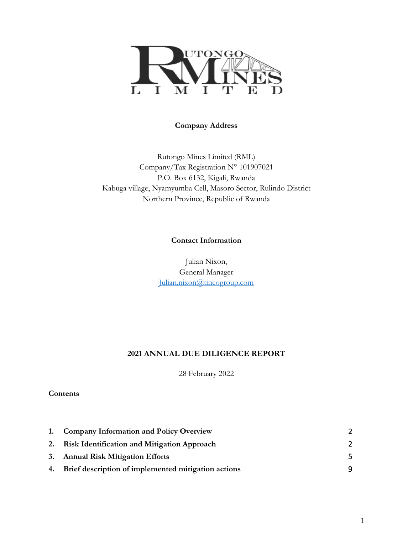

#### **Company Address**

Rutongo Mines Limited (RML) Company/Tax Registration N° 101907021 P.O. Box 6132, Kigali, Rwanda Kabuga village, Nyamyumba Cell, Masoro Sector, Rulindo District Northern Province, Republic of Rwanda

#### **Contact Information**

Julian Nixon, General Manager [Julian.nixon@tincogroup.com](mailto:Julian.nixon@tincogroup.com)

#### **2021 ANNUAL DUE DILIGENCE REPORT**

28 February 2022

**Contents**

| 1. Company Information and Policy Overview             | $\overline{2}$ |
|--------------------------------------------------------|----------------|
| 2. Risk Identification and Mitigation Approach         | $\mathcal{L}$  |
| 3. Annual Risk Mitigation Efforts                      | 5              |
| 4. Brief description of implemented mitigation actions | Q              |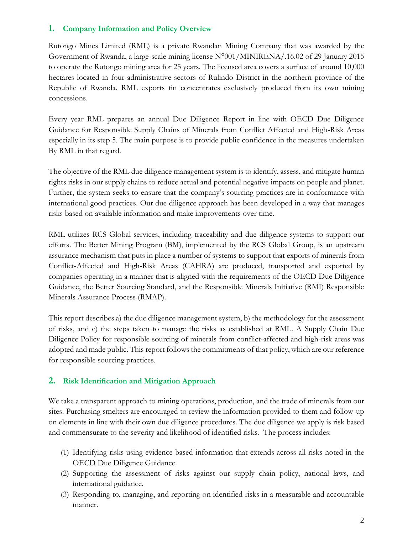### <span id="page-1-0"></span>**1. Company Information and Policy Overview**

Rutongo Mines Limited (RML) is a private Rwandan Mining Company that was awarded by the Government of Rwanda, a large-scale mining license N°001/MINIRENA/.16.02 of 29 January 2015 to operate the Rutongo mining area for 25 years. The licensed area covers a surface of around 10,000 hectares located in four administrative sectors of Rulindo District in the northern province of the Republic of Rwanda. RML exports tin concentrates exclusively produced from its own mining concessions.

Every year RML prepares an annual Due Diligence Report in line with OECD Due Diligence Guidance for Responsible Supply Chains of Minerals from Conflict Affected and High-Risk Areas especially in its step 5. The main purpose is to provide public confidence in the measures undertaken By RML in that regard.

The objective of the RML due diligence management system is to identify, assess, and mitigate human rights risks in our supply chains to reduce actual and potential negative impacts on people and planet. Further, the system seeks to ensure that the company's sourcing practices are in conformance with international good practices. Our due diligence approach has been developed in a way that manages risks based on available information and make improvements over time.

RML utilizes RCS Global services, including traceability and due diligence systems to support our efforts. The Better Mining Program (BM), implemented by the RCS Global Group, is an upstream assurance mechanism that puts in place a number of systems to support that exports of minerals from Conflict-Affected and High-Risk Areas (CAHRA) are produced, transported and exported by companies operating in a manner that is aligned with the requirements of the OECD Due Diligence Guidance, the Better Sourcing Standard, and the Responsible Minerals Initiative (RMI) Responsible Minerals Assurance Process (RMAP).

This report describes a) the due diligence management system, b) the methodology for the assessment of risks, and c) the steps taken to manage the risks as established at RML. A Supply Chain Due Diligence Policy for responsible sourcing of minerals from conflict-affected and high-risk areas was adopted and made public. This report follows the commitments of that policy, which are our reference for responsible sourcing practices.

### <span id="page-1-1"></span>**2. Risk Identification and Mitigation Approach**

We take a transparent approach to mining operations, production, and the trade of minerals from our sites. Purchasing smelters are encouraged to review the information provided to them and follow-up on elements in line with their own due diligence procedures. The due diligence we apply is risk based and commensurate to the severity and likelihood of identified risks. The process includes:

- (1) Identifying risks using evidence-based information that extends across all risks noted in the OECD Due Diligence Guidance.
- (2) Supporting the assessment of risks against our supply chain policy, national laws, and international guidance.
- (3) Responding to, managing, and reporting on identified risks in a measurable and accountable manner.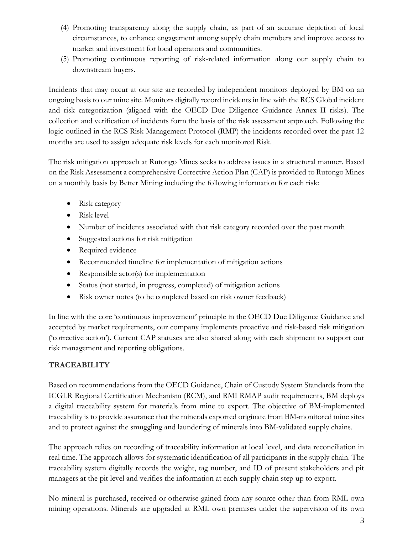- (4) Promoting transparency along the supply chain, as part of an accurate depiction of local circumstances, to enhance engagement among supply chain members and improve access to market and investment for local operators and communities.
- (5) Promoting continuous reporting of risk-related information along our supply chain to downstream buyers.

Incidents that may occur at our site are recorded by independent monitors deployed by BM on an ongoing basis to our mine site. Monitors digitally record incidents in line with the RCS Global incident and risk categorization (aligned with the OECD Due Diligence Guidance Annex II risks). The collection and verification of incidents form the basis of the risk assessment approach. Following the logic outlined in the RCS Risk Management Protocol (RMP) the incidents recorded over the past 12 months are used to assign adequate risk levels for each monitored Risk.

The risk mitigation approach at Rutongo Mines seeks to address issues in a structural manner. Based on the Risk Assessment a comprehensive Corrective Action Plan (CAP) is provided to Rutongo Mines on a monthly basis by Better Mining including the following information for each risk:

- Risk category
- Risk level
- Number of incidents associated with that risk category recorded over the past month
- Suggested actions for risk mitigation
- Required evidence
- Recommended timeline for implementation of mitigation actions
- Responsible actor(s) for implementation
- Status (not started, in progress, completed) of mitigation actions
- Risk owner notes (to be completed based on risk owner feedback)

In line with the core 'continuous improvement' principle in the OECD Due Diligence Guidance and accepted by market requirements, our company implements proactive and risk-based risk mitigation ('corrective action'). Current CAP statuses are also shared along with each shipment to support our risk management and reporting obligations.

# **TRACEABILITY**

Based on recommendations from the OECD Guidance, Chain of Custody System Standards from the ICGLR Regional Certification Mechanism (RCM), and RMI RMAP audit requirements, BM deploys a digital traceability system for materials from mine to export. The objective of BM-implemented traceability is to provide assurance that the minerals exported originate from BM-monitored mine sites and to protect against the smuggling and laundering of minerals into BM-validated supply chains.

The approach relies on recording of traceability information at local level, and data reconciliation in real time. The approach allows for systematic identification of all participants in the supply chain. The traceability system digitally records the weight, tag number, and ID of present stakeholders and pit managers at the pit level and verifies the information at each supply chain step up to export.

No mineral is purchased, received or otherwise gained from any source other than from RML own mining operations. Minerals are upgraded at RML own premises under the supervision of its own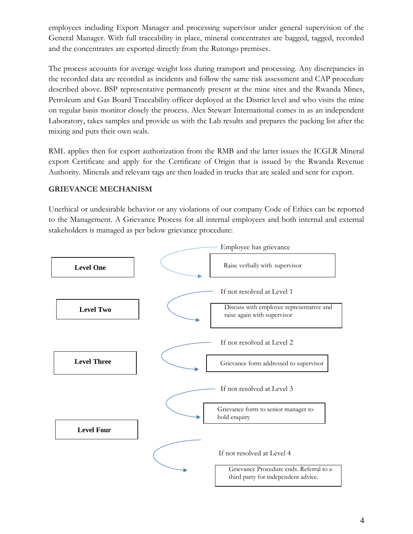employees including Export Manager and processing supervisor under general supervision of the General Manager. With full traceability in place, mineral concentrates are bagged, tagged, recorded and the concentrates are exported directly from the Rutongo premises.

The process accounts for average weight loss during transport and processing. Any discrepancies in the recorded data are recorded as incidents and follow the same risk assessment and CAP procedure described above. BSP representative permanently present at the mine sites and the Rwanda Mines, Petroleum and Gas Board Traceability officer deployed at the District level and who visits the mine on regular basis monitor closely the process. Alex Stewart International comes in as an independent Laboratory, takes samples and provide us with the Lab results and prepares the packing list after the mixing and puts their own seals.

RML applies then for export authorization from the RMB and the latter issues the ICGLR Mineral export Certificate and apply for the Certificate of Origin that is issued by the Rwanda Revenue Authority. Minerals and relevant tags are then loaded in trucks that are sealed and sent for export.

### **GRIEVANCE MECHANISM**

Unethical or undesirable behavior or any violations of our company Code of Ethics can be reported to the Management. A Grievance Process for all internal employees and both internal and external stakeholders is managed as per below grievance procedure:

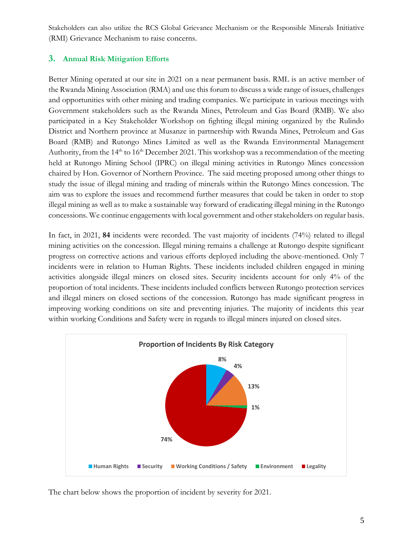Stakeholders can also utilize the RCS Global Grievance Mechanism or the Responsible Minerals Initiative (RMI) Grievance Mechanism to raise concerns.

## <span id="page-4-0"></span>**3. Annual Risk Mitigation Efforts**

Better Mining operated at our site in 2021 on a near permanent basis. RML is an active member of the Rwanda Mining Association (RMA) and use this forum to discuss a wide range of issues, challenges and opportunities with other mining and trading companies. We participate in various meetings with Government stakeholders such as the Rwanda Mines, Petroleum and Gas Board (RMB). We also participated in a Key Stakeholder Workshop on fighting illegal mining organized by the Rulindo District and Northern province at Musanze in partnership with Rwanda Mines, Petroleum and Gas Board (RMB) and Rutongo Mines Limited as well as the Rwanda Environmental Management Authority, from the 14<sup>th</sup> to 16<sup>th</sup> December 2021. This workshop was a recommendation of the meeting held at Rutongo Mining School (IPRC) on illegal mining activities in Rutongo Mines concession chaired by Hon. Governor of Northern Province. The said meeting proposed among other things to study the issue of illegal mining and trading of minerals within the Rutongo Mines concession. The aim was to explore the issues and recommend further measures that could be taken in order to stop illegal mining as well as to make a sustainable way forward of eradicating illegal mining in the Rutongo concessions. We continue engagements with local government and other stakeholders on regular basis.

In fact, in 2021, **84** incidents were recorded. The vast majority of incidents (74%) related to illegal mining activities on the concession. Illegal mining remains a challenge at Rutongo despite significant progress on corrective actions and various efforts deployed including the above-mentioned. Only 7 incidents were in relation to Human Rights. These incidents included children engaged in mining activities alongside illegal miners on closed sites. Security incidents account for only 4% of the proportion of total incidents. These incidents included conflicts between Rutongo protection services and illegal miners on closed sections of the concession. Rutongo has made significant progress in improving working conditions on site and preventing injuries. The majority of incidents this year within working Conditions and Safety were in regards to illegal miners injured on closed sites.



The chart below shows the proportion of incident by severity for 2021.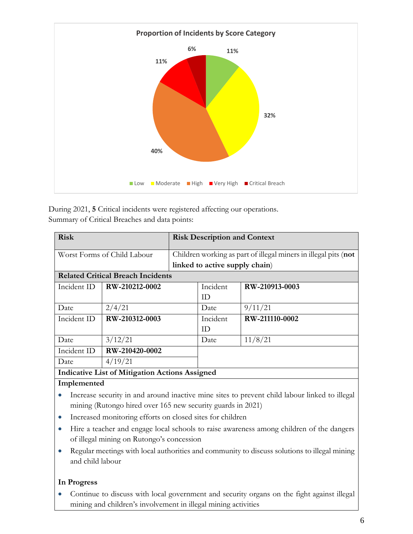

During 2021, **5** Critical incidents were registered affecting our operations. Summary of Critical Breaches and data points:

| <b>Risk</b>                                                                                   |                             | <b>Risk Description and Context</b>                             |          |                |  |  |  |
|-----------------------------------------------------------------------------------------------|-----------------------------|-----------------------------------------------------------------|----------|----------------|--|--|--|
|                                                                                               | Worst Forms of Child Labour | Children working as part of illegal miners in illegal pits (not |          |                |  |  |  |
|                                                                                               |                             | linked to active supply chain)                                  |          |                |  |  |  |
| <b>Related Critical Breach Incidents</b>                                                      |                             |                                                                 |          |                |  |  |  |
| Incident ID                                                                                   | RW-210212-0002              |                                                                 | Incident | RW-210913-0003 |  |  |  |
|                                                                                               |                             |                                                                 | ID.      |                |  |  |  |
| Date                                                                                          | 2/4/21                      |                                                                 | Date     | 9/11/21        |  |  |  |
| Incident ID                                                                                   | RW-210312-0003              |                                                                 | Incident | RW-211110-0002 |  |  |  |
|                                                                                               |                             |                                                                 | ID       |                |  |  |  |
| Date                                                                                          | 3/12/21                     |                                                                 | Date     | 11/8/21        |  |  |  |
| Incident ID                                                                                   | RW-210420-0002              |                                                                 |          |                |  |  |  |
| Date                                                                                          | 4/19/21                     |                                                                 |          |                |  |  |  |
| <b>Indicative List of Mitigation Actions Assigned</b>                                         |                             |                                                                 |          |                |  |  |  |
| Implemented                                                                                   |                             |                                                                 |          |                |  |  |  |
| Increase security in and around inactive mine sites to prevent child labour linked to illegal |                             |                                                                 |          |                |  |  |  |

- mining (Rutongo hired over 165 new security guards in 2021)
- Increased monitoring efforts on closed sites for children
- Hire a teacher and engage local schools to raise awareness among children of the dangers of illegal mining on Rutongo's concession
- Regular meetings with local authorities and community to discuss solutions to illegal mining and child labour

## **In Progress**

• Continue to discuss with local government and security organs on the fight against illegal mining and children's involvement in illegal mining activities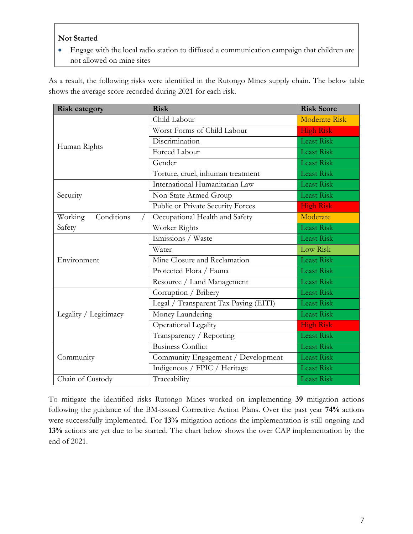### **Not Started**

• Engage with the local radio station to diffused a communication campaign that children are not allowed on mine sites

As a result, the following risks were identified in the Rutongo Mines supply chain. The below table shows the average score recorded during 2021 for each risk.

| <b>Risk category</b>  | <b>Risk</b>                           | <b>Risk Score</b>    |
|-----------------------|---------------------------------------|----------------------|
|                       | Child Labour                          | <b>Moderate Risk</b> |
|                       | Worst Forms of Child Labour           | <b>High Risk</b>     |
| Human Rights          | Discrimination                        | Least Risk           |
|                       | Forced Labour                         | <b>Least Risk</b>    |
|                       | Gender                                | Least Risk           |
|                       | Torture, cruel, inhuman treatment     | <b>Least Risk</b>    |
|                       | International Humanitarian Law        | <b>Least Risk</b>    |
| Security              | Non-State Armed Group                 | <b>Least Risk</b>    |
|                       | Public or Private Security Forces     | <b>High Risk</b>     |
| Conditions<br>Working | Occupational Health and Safety        | Moderate             |
| Safety                | Worker Rights                         | <b>Least Risk</b>    |
|                       | Emissions / Waste                     | <b>Least Risk</b>    |
|                       | Water                                 | Low Risk             |
| Environment           | Mine Closure and Reclamation          | <b>Least Risk</b>    |
|                       | Protected Flora / Fauna               | <b>Least Risk</b>    |
|                       | Resource / Land Management            | <b>Least Risk</b>    |
|                       | Corruption / Bribery                  | <b>Least Risk</b>    |
|                       | Legal / Transparent Tax Paying (EITI) | <b>Least Risk</b>    |
| Legality / Legitimacy | Money Laundering                      | <b>Least Risk</b>    |
|                       | Operational Legality                  | <b>High Risk</b>     |
|                       | Transparency / Reporting              | Least Risk           |
|                       | <b>Business Conflict</b>              | <b>Least Risk</b>    |
| Community             | Community Engagement / Development    | <b>Least Risk</b>    |
|                       | Indigenous / FPIC / Heritage          | <b>Least Risk</b>    |
| Chain of Custody      | Traceability                          | <b>Least Risk</b>    |

To mitigate the identified risks Rutongo Mines worked on implementing **39** mitigation actions following the guidance of the BM-issued Corrective Action Plans. Over the past year **74%** actions were successfully implemented. For **13%** mitigation actions the implementation is still ongoing and **13%** actions are yet due to be started. The chart below shows the over CAP implementation by the end of 2021.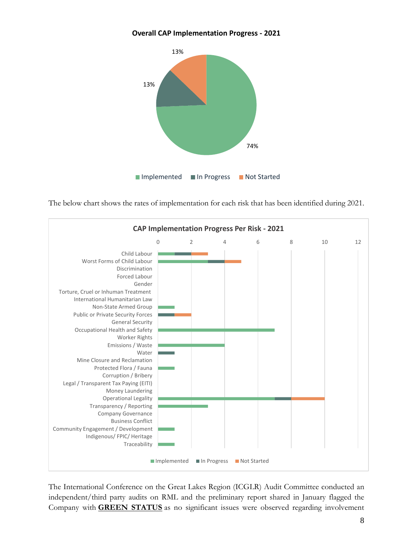#### **Overall CAP Implementation Progress - 2021**



The below chart shows the rates of implementation for each risk that has been identified during 2021.



The International Conference on the Great Lakes Region (ICGLR) Audit Committee conducted an independent/third party audits on RML and the preliminary report shared in January flagged the Company with **GREEN STATUS** as no significant issues were observed regarding involvement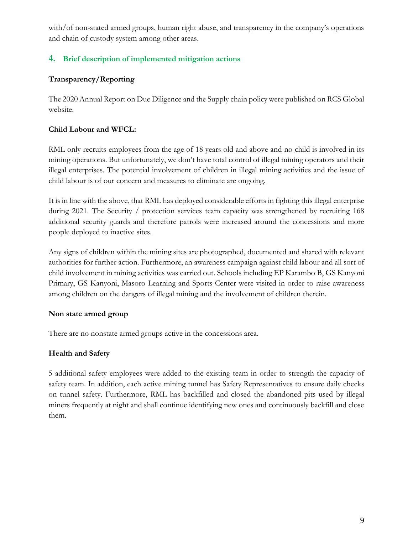with/of non-stated armed groups, human right abuse, and transparency in the company's operations and chain of custody system among other areas.

# <span id="page-8-0"></span>**4. Brief description of implemented mitigation actions**

## **Transparency/Reporting**

The 2020 Annual Report on Due Diligence and the Supply chain policy were published on RCS Global website.

## **Child Labour and WFCL:**

RML only recruits employees from the age of 18 years old and above and no child is involved in its mining operations. But unfortunately, we don't have total control of illegal mining operators and their illegal enterprises. The potential involvement of children in illegal mining activities and the issue of child labour is of our concern and measures to eliminate are ongoing.

It is in line with the above, that RML has deployed considerable efforts in fighting this illegal enterprise during 2021. The Security / protection services team capacity was strengthened by recruiting 168 additional security guards and therefore patrols were increased around the concessions and more people deployed to inactive sites.

Any signs of children within the mining sites are photographed, documented and shared with relevant authorities for further action. Furthermore, an awareness campaign against child labour and all sort of child involvement in mining activities was carried out. Schools including EP Karambo B, GS Kanyoni Primary, GS Kanyoni, Masoro Learning and Sports Center were visited in order to raise awareness among children on the dangers of illegal mining and the involvement of children therein.

## **Non state armed group**

There are no nonstate armed groups active in the concessions area.

# **Health and Safety**

5 additional safety employees were added to the existing team in order to strength the capacity of safety team. In addition, each active mining tunnel has Safety Representatives to ensure daily checks on tunnel safety. Furthermore, RML has backfilled and closed the abandoned pits used by illegal miners frequently at night and shall continue identifying new ones and continuously backfill and close them.